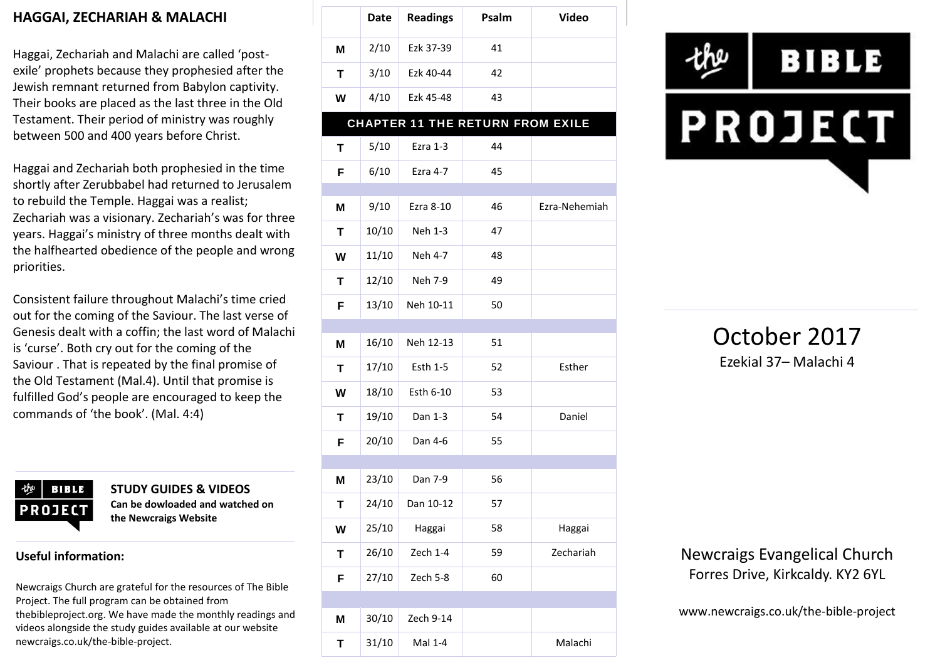### **HAGGAI, ZECHARIAH & MALACHI**

Haggai, Zechariah and Malachi are called 'post exile' prophets because they prophesied after the Jewish remnant returned from Babylon captivity. Their books are placed as the last three in the Old Testament. Their period of ministry was roughly between 500 and 400 years before Christ.

Haggai and Zechariah both prophesied in the time shortly after Zerubbabel had returned to Jerusalem to rebuild the Temple. Haggai was a realist; Zechariah was a visionary. Zechariah's was for three years. Haggai's ministry of three months dealt with the halfhearted obedience of the people and wrong priorities.

Consistent failure throughout Malachi's time cried out for the coming of the Saviour. The last verse of Genesis dealt with a coffin; the last word of Malachi is 'curse'. Both cry out for the coming of the Saviour . That is repeated by the final promise of the Old Testament (Mal.4). Until that promise is fulfilled God's people are encouraged to keep the commands of 'the book'. (Mal. 4:4)



**STUDY GUIDES & VIDEOS Can be dowloaded and watched on the Newcraigs Website**

#### **Useful information:**

Newcraigs Church are grateful for the resources of The Bible Project. The full program can be obtained from thebibleproject.org. We have made the monthly readings and videos alongside the study guides available at our website newcraigs.co.uk/the-bible-project.

|   | <b>Date</b> | <b>Readings</b> | Psalm                                   | <b>Video</b>  |
|---|-------------|-----------------|-----------------------------------------|---------------|
| Μ | 2/10        | Ezk 37-39       | 41                                      |               |
| T | 3/10        | Ezk 40-44       | 42                                      |               |
| W | 4/10        | Ezk 45-48       | 43                                      |               |
|   |             |                 | <b>CHAPTER 11 THE RETURN FROM EXILE</b> |               |
| Т | 5/10        | Ezra 1-3        | 44                                      |               |
| F | 6/10        | Ezra 4-7        | 45                                      |               |
| M | 9/10        | Ezra 8-10       | 46                                      | Ezra-Nehemiah |
| Т | 10/10       | Neh 1-3         | 47                                      |               |
| W | 11/10       | Neh 4-7         | 48                                      |               |
| T | 12/10       | Neh 7-9         | 49                                      |               |
| F | 13/10       | Neh 10-11       | 50                                      |               |
|   |             |                 |                                         |               |
| M | 16/10       | Neh 12-13       | 51                                      |               |
| T | 17/10       | Esth 1-5        | 52                                      | Esther        |
| W | 18/10       | Esth 6-10       | 53                                      |               |
| T | 19/10       | Dan 1-3         | 54                                      | Daniel        |
| F | 20/10       | Dan 4-6         | 55                                      |               |
|   |             |                 |                                         |               |
| M | 23/10       | Dan 7-9         | 56                                      |               |
| Τ | 24/10       | Dan 10-12       | 57                                      |               |
| W | 25/10       | Haggai          | 58                                      | Haggai        |
| Τ | 26/10       | Zech 1-4        | 59                                      | Zechariah     |
| F | 27/10       | Zech 5-8        | 60                                      |               |
|   |             |                 |                                         |               |
| M | 30/10       | Zech 9-14       |                                         |               |
| T | 31/10       | Mal 1-4         |                                         | Malachi       |



October 2017 Ezekial 37– Malachi 4

Newcraigs Evangelical Church Forres Drive, Kirkcaldy. KY2 6YL

www.newcraigs.co.uk/the-bible-project